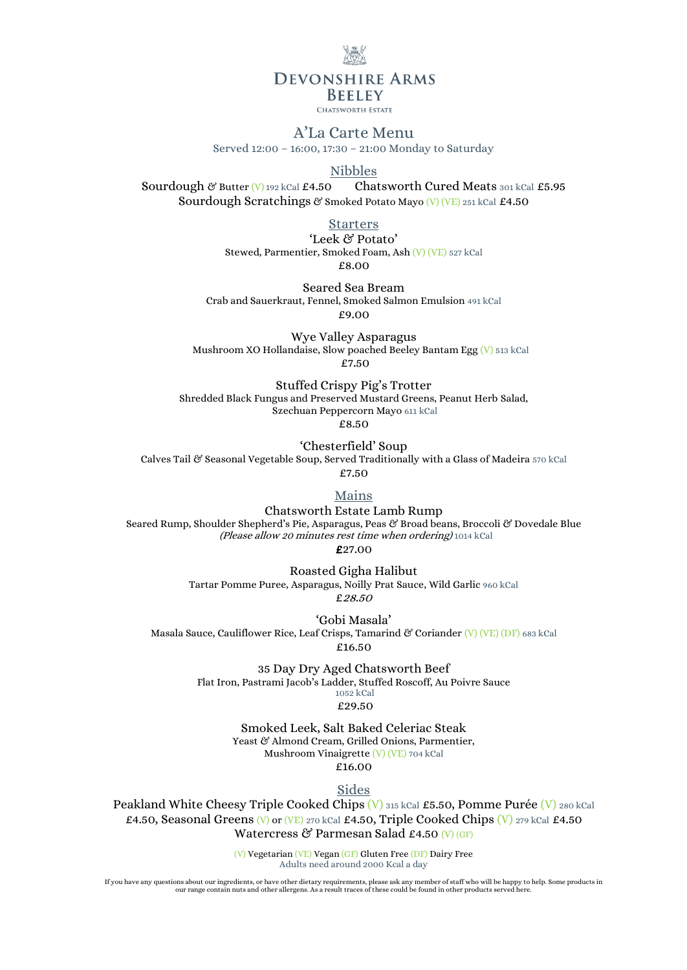

# **DEVONSHIRE ARMS**

**BEELEY** 

**CHATSWORTH ESTATE** 

### A'La Carte Menu

Served 12:00 – 16:00, 17:30 – 21:00 Monday to Saturday

Nibbles

Sourdough & Butter (V) 192 kCal £4.50 Chatsworth Cured Meats 301 kCal £5.95 Sourdough Scratchings & Smoked Potato Mayo  $(V)$  (VE) 251 kCal £4.50

### **Starters**

'Leek & Potato' Stewed, Parmentier, Smoked Foam, Ash (V) (VE) 527 kCal £8.00

Seared Sea Bream Crab and Sauerkraut, Fennel, Smoked Salmon Emulsion 491 kCal £9.00

Wye Valley Asparagus Mushroom XO Hollandaise, Slow poached Beeley Bantam Egg (V) 513 kCal £7.50

Stuffed Crispy Pig's Trotter Shredded Black Fungus and Preserved Mustard Greens, Peanut Herb Salad, Szechuan Peppercorn Mayo 611 kCal £8.50

'Chesterfield' Soup Calves Tail & Seasonal Vegetable Soup, Served Traditionally with a Glass of Madeira 570 kCal £7.50

Mains

Chatsworth Estate Lamb Rump Seared Rump, Shoulder Shepherd's Pie, Asparagus, Peas & Broad beans, Broccoli & Dovedale Blue (Please allow 20 minutes rest time when ordering) 1014 kCal

£27.00

Roasted Gigha Halibut Tartar Pomme Puree, Asparagus, Noilly Prat Sauce, Wild Garlic 960 kCal £28.50

'Gobi Masala' Masala Sauce, Cauliflower Rice, Leaf Crisps, Tamarind & Coriander  $(V)$  (VE) (DF) 683 kCal £16.50

> 35 Day Dry Aged Chatsworth Beef Flat Iron, Pastrami Jacob's Ladder, Stuffed Roscoff, Au Poivre Sauce 1052 kCal

#### £29.50

Smoked Leek, Salt Baked Celeriac Steak Yeast & Almond Cream, Grilled Onions, Parmentier, Mushroom Vinaigrette (V) (VE) 704 kCal £16.00

Sides

Peakland White Cheesy Triple Cooked Chips (V) 315 kCal £5.50, Pomme Purée (V) 280 kCal £4.50, Seasonal Greens (V) or (VE) 270 kCal £4.50, Triple Cooked Chips (V) 279 kCal £4.50 Watercress  $\mathfrak G$  Parmesan Salad £4.50 (V) (GF)

> (V) Vegetarian (VE) Vegan (GF) Gluten Free (DF) Dairy Free Adults need around 2000 Kcal a day

If you have any questions about our ingredients, or have other dietary requirements, please ask any member of staff who will be happy to help. Some products in<br>our range contain nuts and other allergens. As a result traces